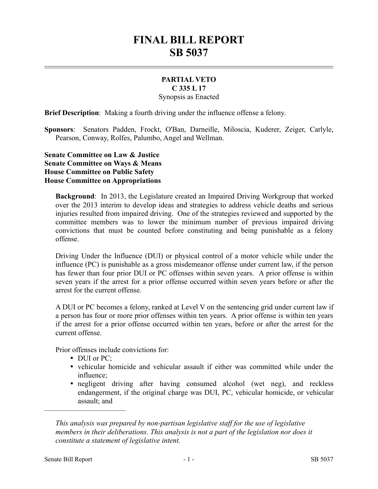## **FINAL BILL REPORT SB 5037**

## **PARTIAL VETO C 335 L 17**

Synopsis as Enacted

**Brief Description**: Making a fourth driving under the influence offense a felony.

**Sponsors**: Senators Padden, Frockt, O'Ban, Darneille, Miloscia, Kuderer, Zeiger, Carlyle, Pearson, Conway, Rolfes, Palumbo, Angel and Wellman.

**Senate Committee on Law & Justice Senate Committee on Ways & Means House Committee on Public Safety House Committee on Appropriations**

**Background**: In 2013, the Legislature created an Impaired Driving Workgroup that worked over the 2013 interim to develop ideas and strategies to address vehicle deaths and serious injuries resulted from impaired driving. One of the strategies reviewed and supported by the committee members was to lower the minimum number of previous impaired driving convictions that must be counted before constituting and being punishable as a felony offense.

Driving Under the Influence (DUI) or physical control of a motor vehicle while under the influence (PC) is punishable as a gross misdemeanor offense under current law, if the person has fewer than four prior DUI or PC offenses within seven years. A prior offense is within seven years if the arrest for a prior offense occurred within seven years before or after the arrest for the current offense.

A DUI or PC becomes a felony, ranked at Level V on the sentencing grid under current law if a person has four or more prior offenses within ten years. A prior offense is within ten years if the arrest for a prior offense occurred within ten years, before or after the arrest for the current offense.

Prior offenses include convictions for:

DUI or PC;

––––––––––––––––––––––

- vehicular homicide and vehicular assault if either was committed while under the influence;
- negligent driving after having consumed alcohol (wet neg), and reckless endangerment, if the original charge was DUI, PC, vehicular homicide, or vehicular assault; and

*This analysis was prepared by non-partisan legislative staff for the use of legislative members in their deliberations. This analysis is not a part of the legislation nor does it constitute a statement of legislative intent.*